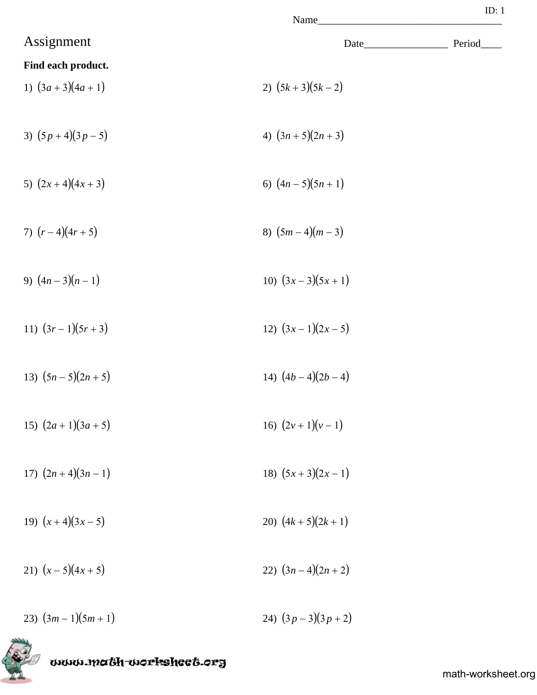|                        | Name               | ID: $1$ |
|------------------------|--------------------|---------|
| Assignment             | Date_              | Period  |
| Find each product.     |                    |         |
| 1) $(3a+3)(4a+1)$      | 2) $(5k+3)(5k-2)$  |         |
| 3) $(5p+4)(3p-5)$      | 4) $(3n+5)(2n+3)$  |         |
| 5) $(2x+4)(4x+3)$      | 6) $(4n-5)(5n+1)$  |         |
| 7) $(r-4)(4r+5)$       | 8) $(5m-4)(m-3)$   |         |
| 9) $(4n-3)(n-1)$       | 10) $(3x-3)(5x+1)$ |         |
| 11) $(3r-1)(5r+3)$     | 12) $(3x-1)(2x-5)$ |         |
| 13) $(5n - 5)(2n + 5)$ | 14) $(4b-4)(2b-4)$ |         |
| 15) $(2a+1)(3a+5)$     | 16) $(2v+1)(v-1)$  |         |
| 17) $(2n+4)(3n-1)$     | 18) $(5x+3)(2x-1)$ |         |
| 19) $(x+4)(3x-5)$      | 20) $(4k+5)(2k+1)$ |         |
| 21) $(x-5)(4x+5)$      | 22) $(3n-4)(2n+2)$ |         |
| 23) $(3m-1)(5m+1)$     | 24) $(3p-3)(3p+2)$ |         |

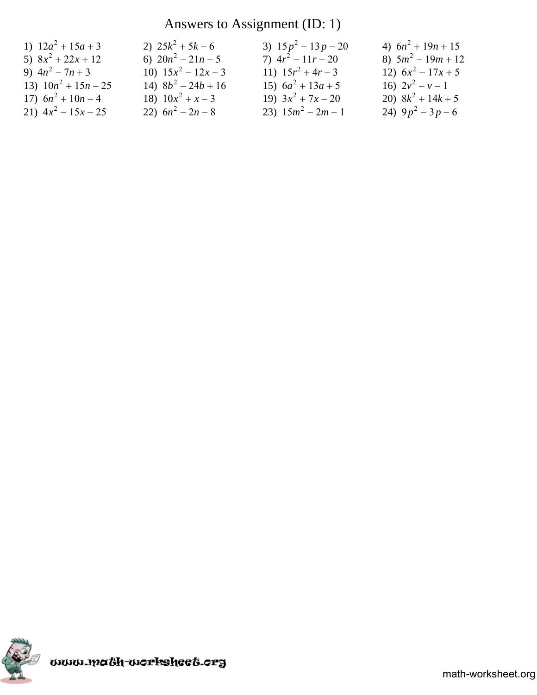### Answers to Assignment (ID: 1)

| 1) $12a^2 + 15a + 3$   | 2) $25k^2 + 5k - 6$   | 3) $15p^2 - 13p - 20$ | 4) $6n^2 + 19n + 15$ |
|------------------------|-----------------------|-----------------------|----------------------|
| 5) $8x^2 + 22x + 12$   | 6) $20n^2 - 21n - 5$  | 7) $4r^2 - 11r - 20$  | 8) $5m^2 - 19m + 12$ |
| 9) $4n^2 - 7n + 3$     | 10) $15x^2 - 12x - 3$ | 11) $15r^2 + 4r - 3$  | 12) $6x^2 - 17x + 5$ |
| 13) $10n^2 + 15n - 25$ | 14) $8b^2 - 24b + 16$ | 15) $6a^2 + 13a + 5$  | 16) $2v^2 - v - 1$   |
| 17) $6n^2 + 10n - 4$   | 18) $10x^2 + x - 3$   | 19) $3x^2 + 7x - 20$  | 20) $8k^2 + 14k + 5$ |
| 21) $4x^2 - 15x - 25$  | 22) $6n^2 - 2n - 8$   | 23) $15m^2 - 2m - 1$  | 24) $9p^2-3p-6$      |

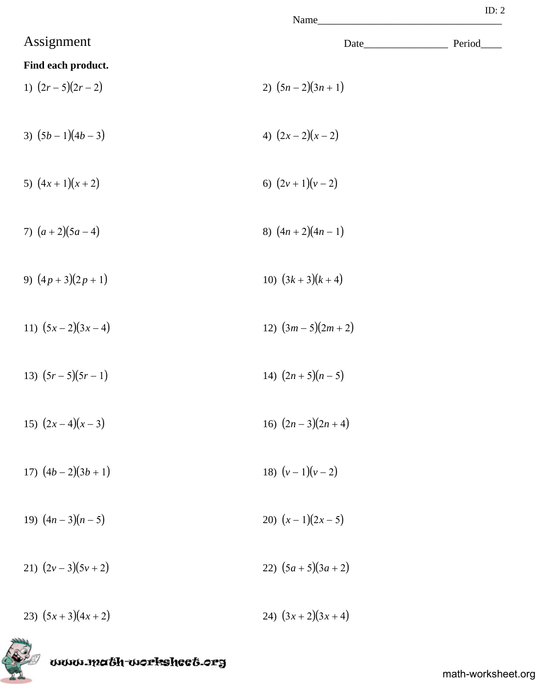| Name |  |
|------|--|

|                    | Name                  |         |
|--------------------|-----------------------|---------|
| Assignment         | Date_                 | Period_ |
| Find each product. |                       |         |
| 1) $(2r-5)(2r-2)$  | 2) $(5n-2)(3n+1)$     |         |
|                    |                       |         |
| 3) $(5b-1)(4b-3)$  | 4) $(2x-2)(x-2)$      |         |
|                    |                       |         |
| 5) $(4x+1)(x+2)$   | 6) $(2v+1)(v-2)$      |         |
|                    |                       |         |
| 7) $(a+2)(5a-4)$   | 8) $(4n+2)(4n-1)$     |         |
|                    |                       |         |
| 9) $(4p+3)(2p+1)$  | 10) $(3k+3)(k+4)$     |         |
| 11) $(5x-2)(3x-4)$ |                       |         |
|                    | 12) $(3m-5)(2m+2)$    |         |
| 13) $(5r-5)(5r-1)$ | 14) $(2n + 5)(n - 5)$ |         |
|                    |                       |         |
| 15) $(2x-4)(x-3)$  | 16) $(2n-3)(2n+4)$    |         |
|                    |                       |         |
| 17) $(4b-2)(3b+1)$ | 18) $(v-1)(v-2)$      |         |
|                    |                       |         |
| 19) $(4n-3)(n-5)$  | 20) $(x-1)(2x-5)$     |         |
|                    |                       |         |
| 21) $(2v-3)(5v+2)$ | 22) $(5a+5)(3a+2)$    |         |
|                    |                       |         |
| 23) $(5x+3)(4x+2)$ | 24) $(3x+2)(3x+4)$    |         |



www.ma&h-workshee&.org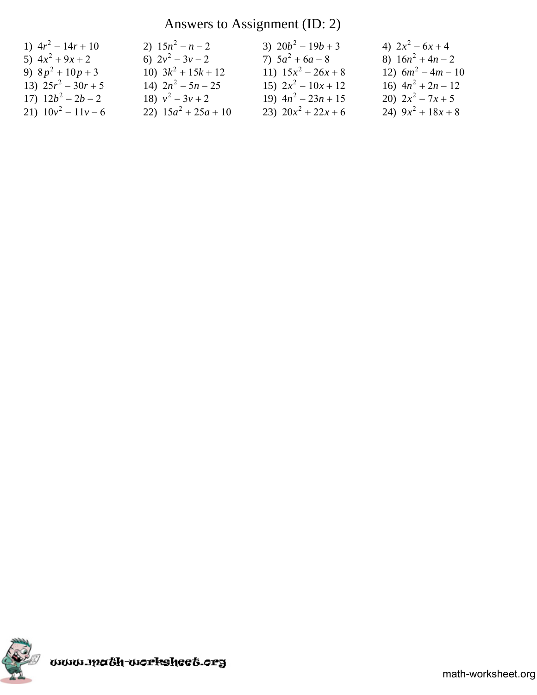## Answers to Assignment (ID: 2)

| 1) $4r^2 - 14r + 10$  | 2) $15n^2 - n - 2$     | 3) $20b^2 - 19b + 3$  | 4) $2x^2-6x+4$       |
|-----------------------|------------------------|-----------------------|----------------------|
| 5) $4x^2 + 9x + 2$    | 6) $2v^2-3v-2$         | 7) $5a^2 + 6a - 8$    | 8) $16n^2 + 4n - 2$  |
| 9) $8p^2 + 10p + 3$   | 10) $3k^2 + 15k + 12$  | 11) $15x^2 - 26x + 8$ | 12) $6m^2 - 4m - 10$ |
| 13) $25r^2 - 30r + 5$ | 14) $2n^2 - 5n - 25$   | 15) $2x^2 - 10x + 12$ | 16) $4n^2 + 2n - 12$ |
| 17) $12b^2 - 2b - 2$  | 18) $v^2-3v+2$         | 19) $4n^2 - 23n + 15$ | 20) $2x^2 - 7x + 5$  |
| 21) $10v^2 - 11v - 6$ | 22) $15a^2 + 25a + 10$ | 23) $20x^2 + 22x + 6$ | 24) $9x^2 + 18x + 8$ |

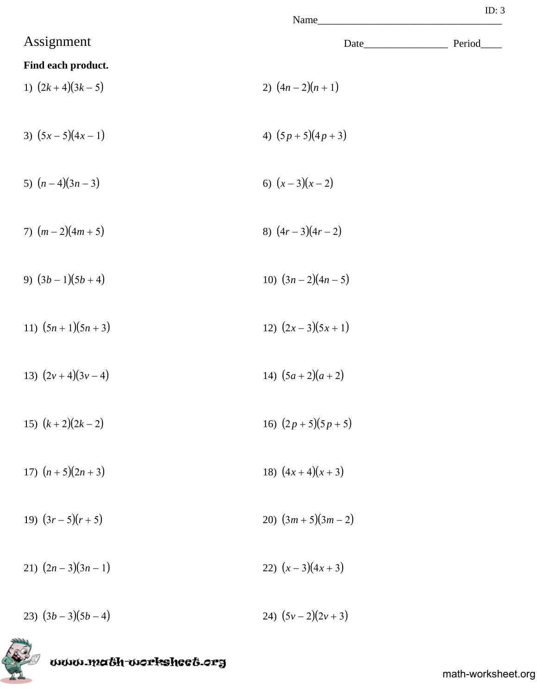| ame |  |
|-----|--|

|                    | Name                   |        |
|--------------------|------------------------|--------|
| Assignment         |                        | Period |
| Find each product. |                        |        |
| 1) $(2k+4)(3k-5)$  | 2) $(4n-2)(n+1)$       |        |
| 3) $(5x-5)(4x-1)$  | 4) $(5p+5)(4p+3)$      |        |
| 5) $(n-4)(3n-3)$   | 6) $(x-3)(x-2)$        |        |
| 7) $(m-2)(4m+5)$   | 8) $(4r-3)(4r-2)$      |        |
| 9) $(3b-1)(5b+4)$  | 10) $(3n-2)(4n-5)$     |        |
| 11) $(5n+1)(5n+3)$ | 12) $(2x-3)(5x+1)$     |        |
| 13) $(2v+4)(3v-4)$ | 14) $(5a+2)(a+2)$      |        |
| 15) $(k+2)(2k-2)$  | 16) $(2p+5)(5p+5)$     |        |
| 17) $(n+5)(2n+3)$  | 18) $(4x+4)(x+3)$      |        |
| 19) $(3r-5)(r+5)$  | 20) $(3m + 5)(3m - 2)$ |        |
| 21) $(2n-3)(3n-1)$ | 22) $(x-3)(4x+3)$      |        |
| 23) $(3b-3)(5b-4)$ | 24) $(5v-2)(2v+3)$     |        |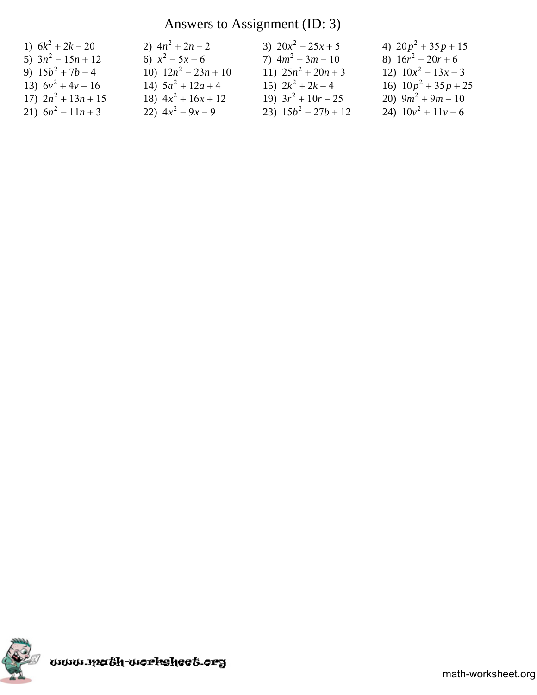### Answers to Assignment (ID: 3)

| 1) $6k^2 + 2k - 20$   | 2) $4n^2 + 2n - 2$     | 3) $20x^2 - 25x + 5$   | 4) $20p^2 + 35p + 15$  |
|-----------------------|------------------------|------------------------|------------------------|
| 5) $3n^2 - 15n + 12$  | 6) $x^2-5x+6$          | 7) $4m^2 - 3m - 10$    | 8) $16r^2 - 20r + 6$   |
| 9) $15b^2 + 7b - 4$   | 10) $12n^2 - 23n + 10$ | 11) $25n^2 + 20n + 3$  | 12) $10x^2 - 13x - 3$  |
| 13) $6v^2 + 4v - 16$  | 14) $5a^2 + 12a + 4$   | 15) $2k^2 + 2k - 4$    | 16) $10p^2 + 35p + 25$ |
| 17) $2n^2 + 13n + 15$ | 18) $4x^2 + 16x + 12$  | 19) $3r^2 + 10r - 25$  | 20) $9m^2 + 9m - 10$   |
| 21) $6n^2 - 11n + 3$  | 22) $4x^2 - 9x - 9$    | 23) $15b^2 - 27b + 12$ | 24) $10v^2 + 11v - 6$  |

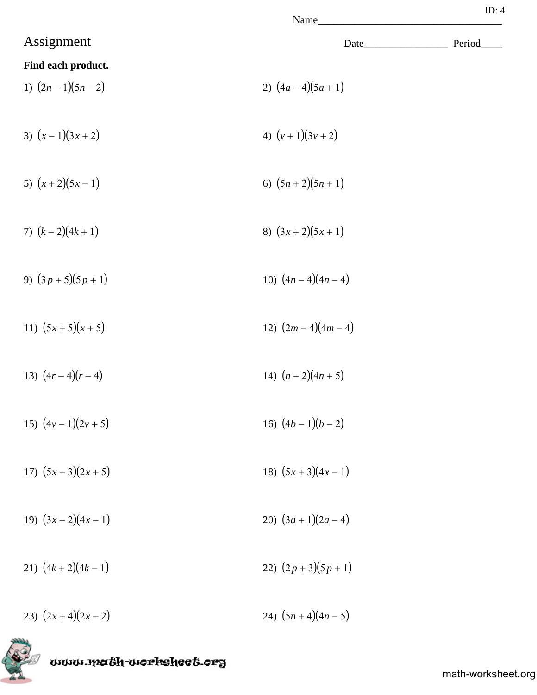|                    | Name               | ID: $4$ |
|--------------------|--------------------|---------|
| Assignment         |                    | Period  |
| Find each product. |                    |         |
| 1) $(2n-1)(5n-2)$  | 2) $(4a-4)(5a+1)$  |         |
| 3) $(x-1)(3x+2)$   | 4) $(v+1)(3v+2)$   |         |
| 5) $(x+2)(5x-1)$   | 6) $(5n+2)(5n+1)$  |         |
| 7) $(k-2)(4k+1)$   | 8) $(3x+2)(5x+1)$  |         |
| 9) $(3p+5)(5p+1)$  | 10) $(4n-4)(4n-4)$ |         |
| 11) $(5x+5)(x+5)$  | 12) $(2m-4)(4m-4)$ |         |
| 13) $(4r-4)(r-4)$  | 14) $(n-2)(4n+5)$  |         |
| 15) $(4v-1)(2v+5)$ | 16) $(4b-1)(b-2)$  |         |
| 17) $(5x-3)(2x+5)$ | 18) $(5x+3)(4x-1)$ |         |
| 19) $(3x-2)(4x-1)$ | 20) $(3a+1)(2a-4)$ |         |

- 21)  $(4k+2)(4k-1)$  22)  $(2p+3)(5p+1)$
- 23)  $(2x+4)(2x-2)$  24)  $(5n+4)(4n-5)$



www.ma6h-workshee6.org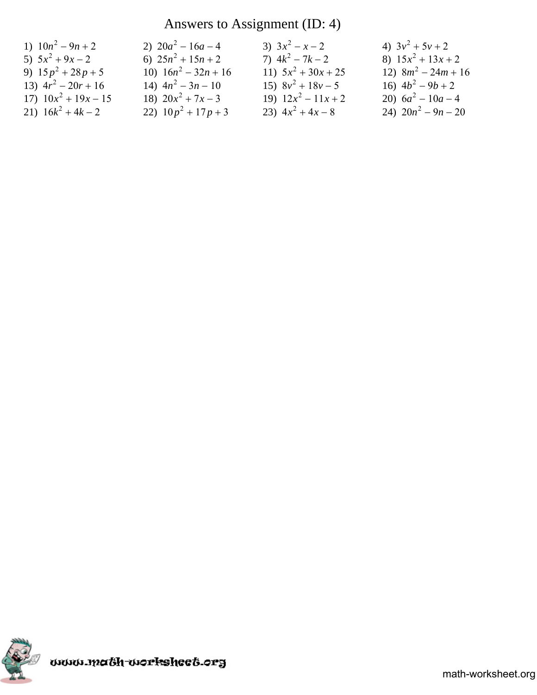## Answers to Assignment (ID: 4)

| 1) $10n^2 - 9n + 2$    | 2) $20a^2 - 16a - 4$   | 3) $3x^2 - x - 2$     | 4) $3v^2 + 5v + 2$    |
|------------------------|------------------------|-----------------------|-----------------------|
| 5) $5x^2 + 9x - 2$     | 6) $25n^2 + 15n + 2$   | 7) $4k^2 - 7k - 2$    | 8) $15x^2 + 13x + 2$  |
| 9) $15p^2 + 28p + 5$   | 10) $16n^2 - 32n + 16$ | 11) $5x^2 + 30x + 25$ | 12) $8m^2 - 24m + 16$ |
| 13) $4r^2 - 20r + 16$  | 14) $4n^2 - 3n - 10$   | 15) $8v^2 + 18v - 5$  | 16) $4b^2 - 9b + 2$   |
| 17) $10x^2 + 19x - 15$ | 18) $20x^2 + 7x - 3$   | 19) $12x^2 - 11x + 2$ | 20) $6a^2 - 10a - 4$  |
| 21) $16k^2 + 4k - 2$   | 22) $10p^2 + 17p + 3$  | 23) $4x^2 + 4x - 8$   | 24) $20n^2 - 9n - 20$ |

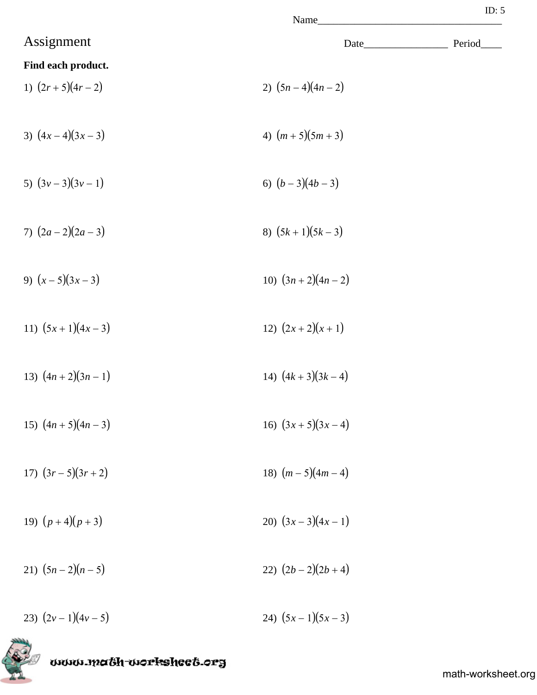|                        | Name               | ID: $5$ |
|------------------------|--------------------|---------|
| Assignment             | Date_              | Period  |
| Find each product.     |                    |         |
| 1) $(2r+5)(4r-2)$      | 2) $(5n-4)(4n-2)$  |         |
| 3) $(4x-4)(3x-3)$      | 4) $(m+5)(5m+3)$   |         |
| 5) $(3v-3)(3v-1)$      | 6) $(b-3)(4b-3)$   |         |
| 7) $(2a-2)(2a-3)$      | 8) $(5k+1)(5k-3)$  |         |
| 9) $(x-5)(3x-3)$       | 10) $(3n+2)(4n-2)$ |         |
| 11) $(5x+1)(4x-3)$     | 12) $(2x+2)(x+1)$  |         |
| 13) $(4n+2)(3n-1)$     | 14) $(4k+3)(3k-4)$ |         |
| 15) $(4n + 5)(4n - 3)$ | 16) $(3x+5)(3x-4)$ |         |
| 17) $(3r-5)(3r+2)$     | 18) $(m-5)(4m-4)$  |         |
| 19) $(p+4)(p+3)$       | 20) $(3x-3)(4x-1)$ |         |
| 21) $(5n-2)(n-5)$      | 22) $(2b-2)(2b+4)$ |         |

23)  $(2v-1)(4v-5)$  24)  $(5x-1)(5x-3)$ 



www.math-worksheet.org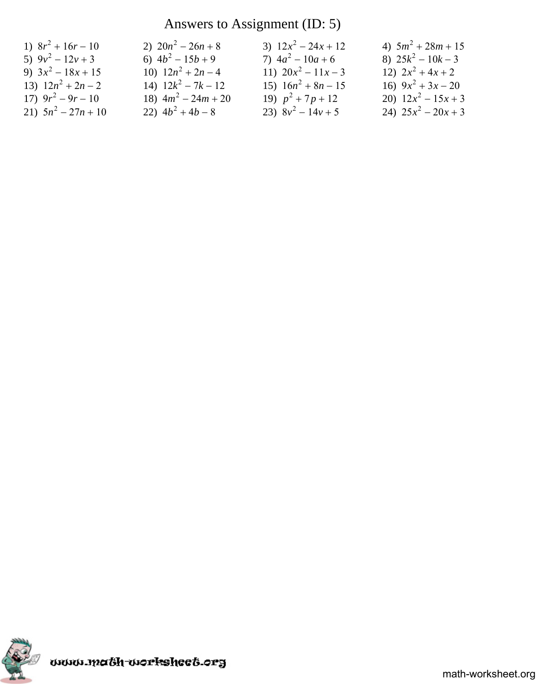## Answers to Assignment (ID: 5)

| 1) $8r^2 + 16r - 10$  | 2) $20n^2 - 26n + 8$  | 3) $12x^2 - 24x + 12$ | 4) $5m^2 + 28m + 15$  |
|-----------------------|-----------------------|-----------------------|-----------------------|
| 5) $9v^2 - 12v + 3$   | 6) $4b^2 - 15b + 9$   | 7) $4a^2 - 10a + 6$   | 8) $25k^2 - 10k - 3$  |
| 9) $3x^2 - 18x + 15$  | 10) $12n^2 + 2n - 4$  | 11) $20x^2 - 11x - 3$ | 12) $2x^2 + 4x + 2$   |
| 13) $12n^2 + 2n - 2$  | 14) $12k^2 - 7k - 12$ | 15) $16n^2 + 8n - 15$ | 16) $9x^2 + 3x - 20$  |
| 17) $9r^2 - 9r - 10$  | 18) $4m^2 - 24m + 20$ | 19) $p^2 + 7p + 12$   | 20) $12x^2 - 15x + 3$ |
| 21) $5n^2 - 27n + 10$ | 22) $4b^2 + 4b - 8$   | 23) $8v^2 - 14v + 5$  | 24) $25x^2 - 20x + 3$ |

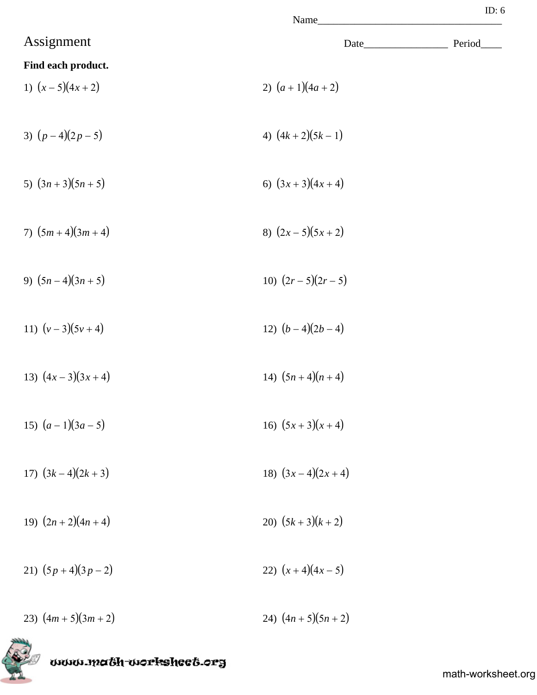|                    | Name               | ID: $6$ |
|--------------------|--------------------|---------|
| Assignment         |                    | Period  |
| Find each product. |                    |         |
| 1) $(x-5)(4x+2)$   | 2) $(a+1)(4a+2)$   |         |
| 3) $(p-4)(2p-5)$   | 4) $(4k+2)(5k-1)$  |         |
| 5) $(3n+3)(5n+5)$  | 6) $(3x+3)(4x+4)$  |         |
| 7) $(5m+4)(3m+4)$  | 8) $(2x-5)(5x+2)$  |         |
| 9) $(5n-4)(3n+5)$  | 10) $(2r-5)(2r-5)$ |         |
| 11) $(v-3)(5v+4)$  | 12) $(b-4)(2b-4)$  |         |
| 13) $(4x-3)(3x+4)$ | 14) $(5n+4)(n+4)$  |         |
| 15) $(a-1)(3a-5)$  | 16) $(5x+3)(x+4)$  |         |
| 17) $(3k-4)(2k+3)$ | 18) $(3x-4)(2x+4)$ |         |
| 19) $(2n+2)(4n+4)$ | 20) $(5k+3)(k+2)$  |         |
| 21) $(5p+4)(3p-2)$ | 22) $(x+4)(4x-5)$  |         |

23)  $(4m + 5)(3m + 2)$ <br>24)  $(4n + 5)(5n + 2)$ 



www.ma&h-workshee&.org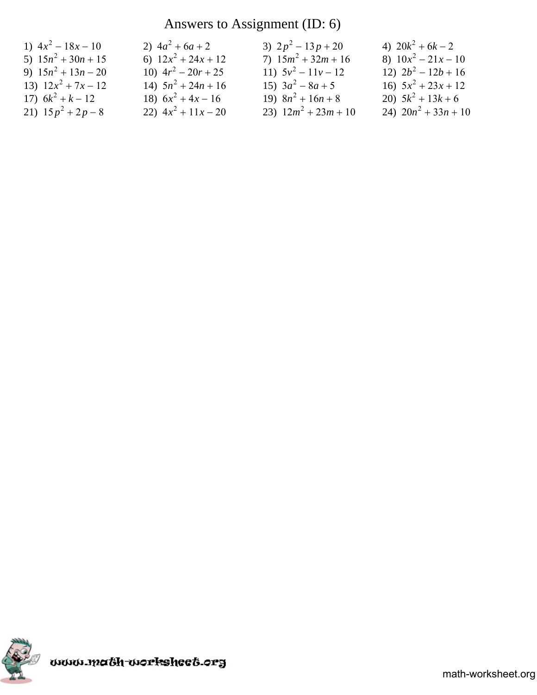# Answers to Assignment (ID: 6)

| 5) $15n^2 + 30n + 15$<br>7) $15m^2 + 32m + 16$<br>8) $10x^2 - 21x - 10$<br>6) $12x^2 + 24x + 12$  |  |
|---------------------------------------------------------------------------------------------------|--|
| 10) $4r^2 - 20r + 25$<br>12) $2b^2 - 12b + 16$<br>9) $15n^2 + 13n - 20$<br>11) $5v^2 - 11v - 12$  |  |
| 15) $3a^2 - 8a + 5$<br>14) $5n^2 + 24n + 16$<br>16) $5x^2 + 23x + 12$<br>13) $12x^2 + 7x - 12$    |  |
| 19) $8n^2 + 16n + 8$<br>20) $5k^2 + 13k + 6$<br>17) $6k^2 + k - 12$<br>18) $6x^2 + 4x - 16$       |  |
| 23) $12m^2 + 23m + 10$<br>24) $20n^2 + 33n + 10$<br>21) $15p^2 + 2p - 8$<br>22) $4x^2 + 11x - 20$ |  |

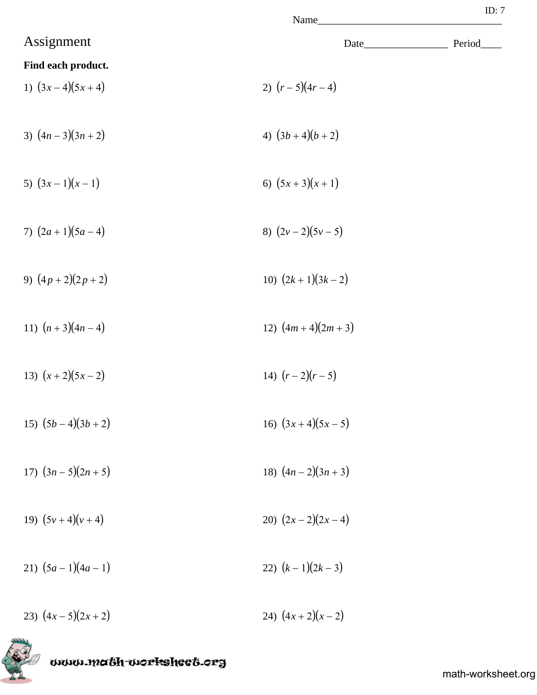|                        | Name               | ID: $7$ |
|------------------------|--------------------|---------|
| Assignment             | Date               | Period_ |
| Find each product.     |                    |         |
| 1) $(3x-4)(5x+4)$      | 2) $(r-5)(4r-4)$   |         |
| 3) $(4n-3)(3n+2)$      | 4) $(3b+4)(b+2)$   |         |
| 5) $(3x-1)(x-1)$       | 6) $(5x+3)(x+1)$   |         |
| 7) $(2a+1)(5a-4)$      | 8) $(2v-2)(5v-5)$  |         |
| 9) $(4p+2)(2p+2)$      | 10) $(2k+1)(3k-2)$ |         |
| 11) $(n+3)(4n-4)$      | 12) $(4m+4)(2m+3)$ |         |
| 13) $(x+2)(5x-2)$      | 14) $(r-2)(r-5)$   |         |
| 15) $(5b-4)(3b+2)$     | 16) $(3x+4)(5x-5)$ |         |
| 17) $(3n - 5)(2n + 5)$ | 18) $(4n-2)(3n+3)$ |         |
| 19) $(5v+4)(v+4)$      | 20) $(2x-2)(2x-4)$ |         |
| 21) $(5a-1)(4a-1)$     | 22) $(k-1)(2k-3)$  |         |

23)  $(4x-5)(2x+2)$  24)  $(4x+2)(x-2)$ 



www.math-worksheet.org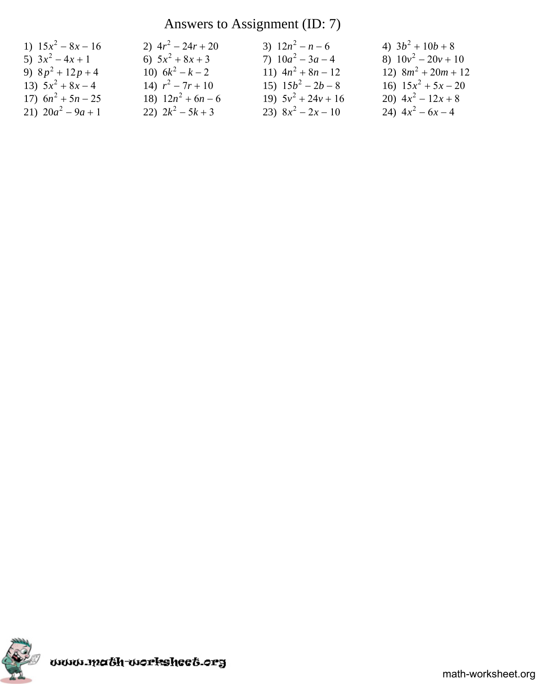## Answers to Assignment (ID: 7)

| 1) $15x^2 - 8x - 16$ | 2) $4r^2 - 24r + 20$ | 3) $12n^2 - n - 6$    | 4) $3b^2 + 10b + 8$   |
|----------------------|----------------------|-----------------------|-----------------------|
| 5) $3x^2-4x+1$       | 6) $5x^2 + 8x + 3$   | 7) $10a^2 - 3a - 4$   | 8) $10v^2 - 20v + 10$ |
| 9) $8p^2 + 12p + 4$  | 10) $6k^2 - k - 2$   | 11) $4n^2 + 8n - 12$  | 12) $8m^2 + 20m + 12$ |
| 13) $5x^2 + 8x - 4$  | 14) $r^2 - 7r + 10$  | 15) $15b^2 - 2b - 8$  | 16) $15x^2 + 5x - 20$ |
| 17) $6n^2 + 5n - 25$ | 18) $12n^2 + 6n - 6$ | 19) $5v^2 + 24v + 16$ | 20) $4x^2 - 12x + 8$  |
| 21) $20a^2 - 9a + 1$ | 22) $2k^2 - 5k + 3$  | 23) $8x^2 - 2x - 10$  | 24) $4x^2 - 6x - 4$   |

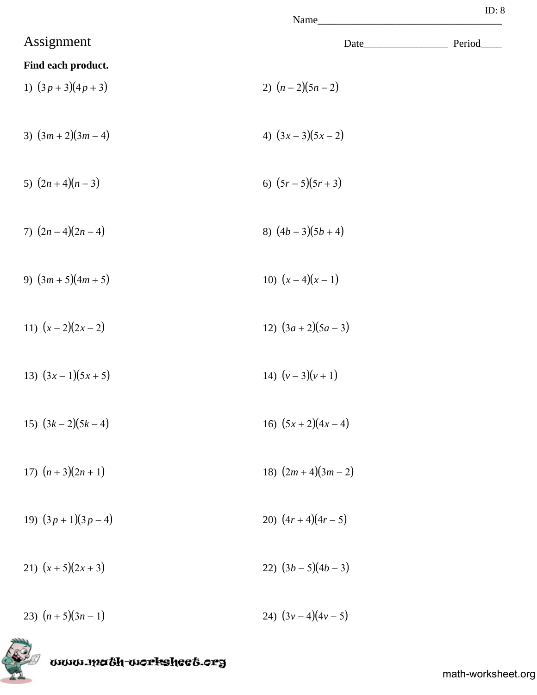|                    | Name              | ID: $8$ |
|--------------------|-------------------|---------|
| Assignment         | Date_             | Period  |
| Find each product. |                   |         |
| 1) $(3p+3)(4p+3)$  | 2) $(n-2)(5n-2)$  |         |
| 3) $(3m+2)(3m-4)$  | 4) $(3x-3)(5x-2)$ |         |
| 5) $(2n+4)(n-3)$   | 6) $(5r-5)(5r+3)$ |         |
| 7) $(2n-4)(2n-4)$  | 8) $(4b-3)(5b+4)$ |         |
|                    |                   |         |

- 9)  $(3m + 5)(4m + 5)$  10)  $(x 4)(x 1)$
- 11)  $(x-2)(2x-2)$  12)  $(3a+2)(5a-3)$
- 13)  $(3x-1)(5x+5)$ <br>14)  $(v-3)(v+1)$
- 15)  $(3k-2)(5k-4)$  16)  $(5x+2)(4x-4)$
- 17)  $(n+3)(2n+1)$  18)  $(2m+4)(3m-2)$
- 19)  $(3p+1)(3p-4)$  20)  $(4r+4)(4r-5)$
- 21)  $(x+5)(2x+3)$  22)  $(3b-5)(4b-3)$
- 23)  $(n+5)(3n-1)$  24)  $(3v-4)(4v-5)$



www.ma6h-workshee6.org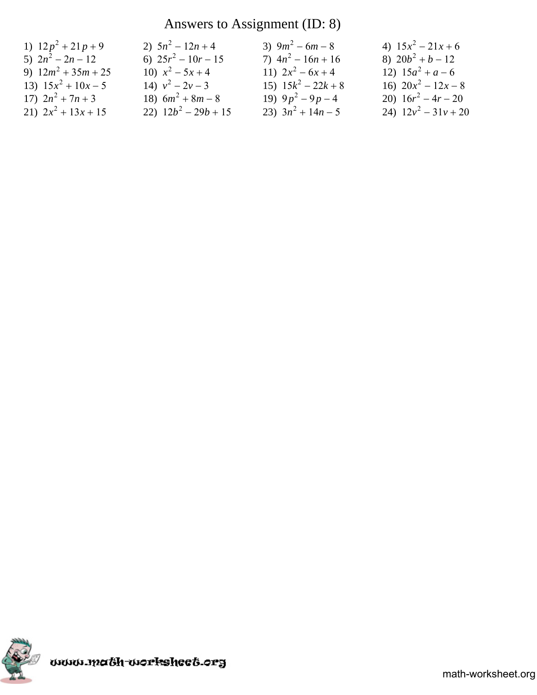## Answers to Assignment (ID: 8)

| 1) $12p^2 + 21p + 9$  | 2) $5n^2 - 12n + 4$    | 3) $9m^2 - 6m - 8$    | 4) $15x^2 - 21x + 6$   |
|-----------------------|------------------------|-----------------------|------------------------|
| 5) $2n^2 - 2n - 12$   | 6) $25r^2 - 10r - 15$  | 7) $4n^2 - 16n + 16$  | 8) $20b^2 + b - 12$    |
| 9) $12m^2 + 35m + 25$ | 10) $x^2 - 5x + 4$     | 11) $2x^2-6x+4$       | 12) $15a^2 + a - 6$    |
| 13) $15x^2 + 10x - 5$ | 14) $v^2 - 2v - 3$     | 15) $15k^2 - 22k + 8$ | 16) $20x^2 - 12x - 8$  |
| 17) $2n^2 + 7n + 3$   | 18) $6m^2 + 8m - 8$    | 19) $9p^2 - 9p - 4$   | 20) $16r^2 - 4r - 20$  |
| 21) $2x^2 + 13x + 15$ | 22) $12b^2 - 29b + 15$ | 23) $3n^2 + 14n - 5$  | 24) $12v^2 - 31v + 20$ |

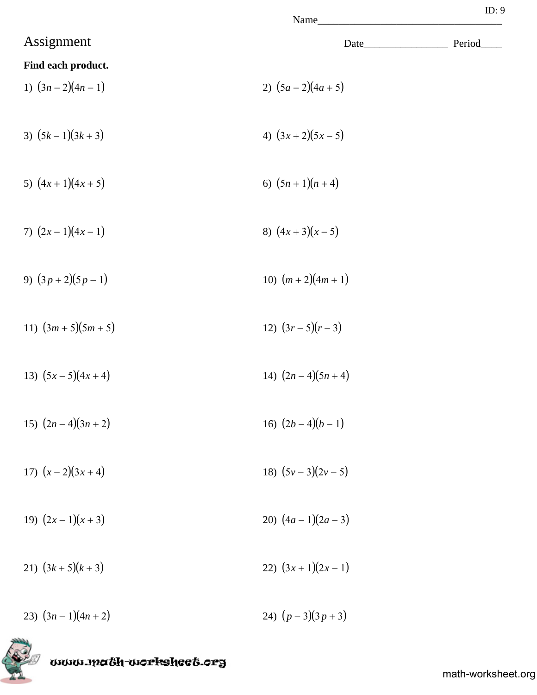|                        | ID: 9<br>Name      |        |
|------------------------|--------------------|--------|
| Assignment             |                    | Period |
| Find each product.     |                    |        |
| 1) $(3n-2)(4n-1)$      | 2) $(5a-2)(4a+5)$  |        |
| 3) $(5k-1)(3k+3)$      | 4) $(3x+2)(5x-5)$  |        |
| 5) $(4x+1)(4x+5)$      | 6) $(5n+1)(n+4)$   |        |
| 7) $(2x-1)(4x-1)$      | 8) $(4x+3)(x-5)$   |        |
| 9) $(3p+2)(5p-1)$      | 10) $(m+2)(4m+1)$  |        |
| 11) $(3m + 5)(5m + 5)$ | 12) $(3r-5)(r-3)$  |        |
| 13) $(5x-5)(4x+4)$     | 14) $(2n-4)(5n+4)$ |        |
| 15) $(2n-4)(3n+2)$     | 16) $(2b-4)(b-1)$  |        |
| 17) $(x-2)(3x+4)$      | 18) $(5v-3)(2v-5)$ |        |
| 19) $(2x-1)(x+3)$      | 20) $(4a-1)(2a-3)$ |        |
| 21) $(3k+5)(k+3)$      | 22) $(3x+1)(2x-1)$ |        |

23)  $(3n-1)(4n+2)$  24)  $(p-3)(3p+3)$ 



www.ma6h-workshee6.org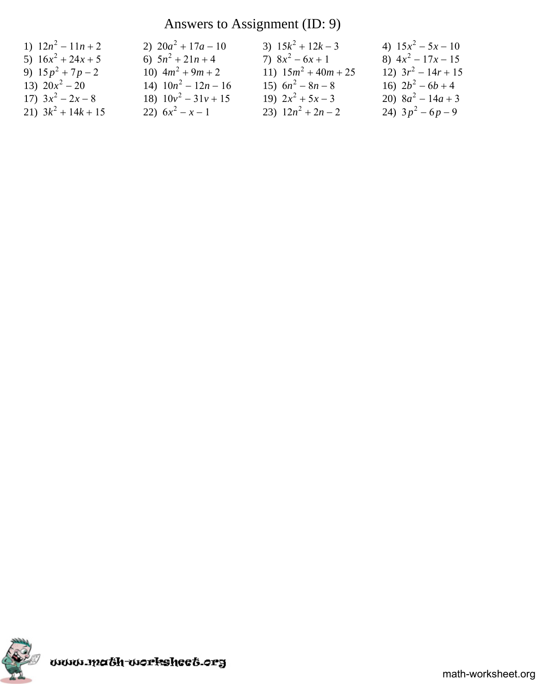## Answers to Assignment (ID: 9)

| 1) $12n^2 - 11n + 2$  | 2) $20a^2 + 17a - 10$  | 3) $15k^2 + 12k - 3$   | 4) $15x^2 - 5x - 10$  |
|-----------------------|------------------------|------------------------|-----------------------|
| 5) $16x^2 + 24x + 5$  | 6) $5n^2 + 21n + 4$    | 7) $8x^2-6x+1$         | 8) $4x^2 - 17x - 15$  |
| 9) $15p^2 + 7p - 2$   | 10) $4m^2 + 9m + 2$    | 11) $15m^2 + 40m + 25$ | 12) $3r^2 - 14r + 15$ |
| 13) $20x^2 - 20$      | 14) $10n^2 - 12n - 16$ | 15) $6n^2 - 8n - 8$    | 16) $2b^2 - 6b + 4$   |
| 17) $3x^2-2x-8$       | 18) $10v^2 - 31v + 15$ | 19) $2x^2 + 5x - 3$    | 20) $8a^2 - 14a + 3$  |
| 21) $3k^2 + 14k + 15$ | 22) $6x^2 - x - 1$     | 23) $12n^2 + 2n - 2$   | 24) $3p^2-6p-9$       |

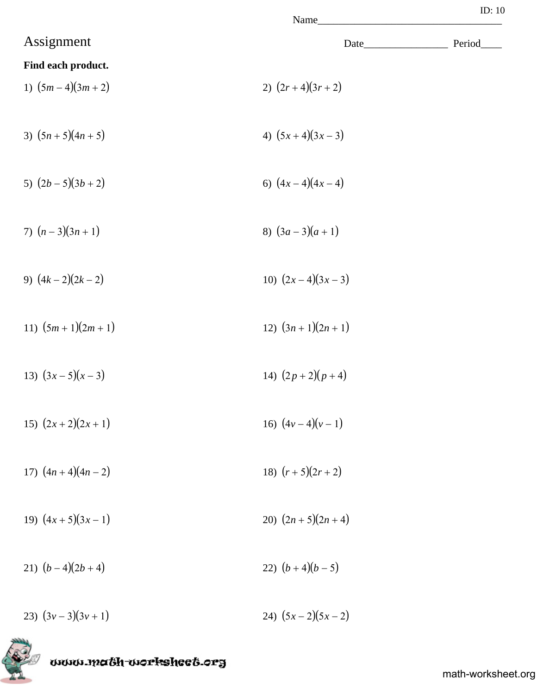|                    | Name_____              |         |
|--------------------|------------------------|---------|
| Assignment         |                        | Period_ |
| Find each product. |                        |         |
| 1) $(5m-4)(3m+2)$  | 2) $(2r+4)(3r+2)$      |         |
| 3) $(5n+5)(4n+5)$  | 4) $(5x+4)(3x-3)$      |         |
| 5) $(2b-5)(3b+2)$  | 6) $(4x-4)(4x-4)$      |         |
| 7) $(n-3)(3n+1)$   | 8) $(3a-3)(a+1)$       |         |
| 9) $(4k-2)(2k-2)$  | 10) $(2x-4)(3x-3)$     |         |
| 11) $(5m+1)(2m+1)$ | 12) $(3n+1)(2n+1)$     |         |
| 13) $(3x-5)(x-3)$  | 14) $(2p+2)(p+4)$      |         |
| 15) $(2x+2)(2x+1)$ | 16) $(4v-4)(v-1)$      |         |
| 17) $(4n+4)(4n-2)$ | 18) $(r+5)(2r+2)$      |         |
| 19) $(4x+5)(3x-1)$ | 20) $(2n + 5)(2n + 4)$ |         |
| 21) $(b-4)(2b+4)$  | 22) $(b+4)(b-5)$       |         |
| 23) $(3v-3)(3v+1)$ | 24) $(5x-2)(5x-2)$     |         |